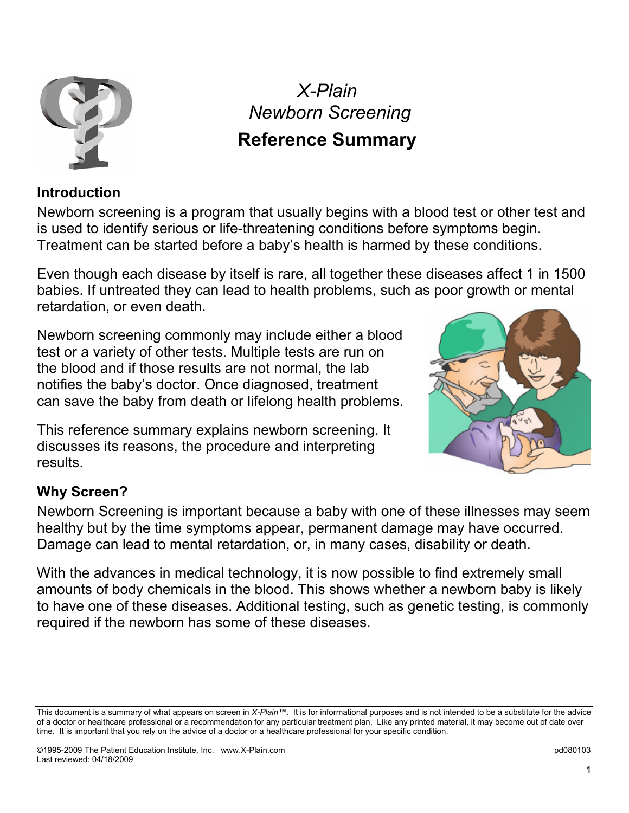

*X-Plain Newborn Screening* 

# **Reference Summary**

#### **Introduction**

Newborn screening is a program that usually begins with a blood test or other test and is used to identify serious or life-threatening conditions before symptoms begin. Treatment can be started before a baby's health is harmed by these conditions.

Even though each disease by itself is rare, all together these diseases affect 1 in 1500 babies. If untreated they can lead to health problems, such as poor growth or mental retardation, or even death.

Newborn screening commonly may include either a blood test or a variety of other tests. Multiple tests are run on the blood and if those results are not normal, the lab notifies the baby's doctor. Once diagnosed, treatment can save the baby from death or lifelong health problems.

This reference summary explains newborn screening. It discusses its reasons, the procedure and interpreting results.



#### **Why Screen?**

Newborn Screening is important because a baby with one of these illnesses may seem healthy but by the time symptoms appear, permanent damage may have occurred. Damage can lead to mental retardation, or, in many cases, disability or death.

With the advances in medical technology, it is now possible to find extremely small amounts of body chemicals in the blood. This shows whether a newborn baby is likely to have one of these diseases. Additional testing, such as genetic testing, is commonly required if the newborn has some of these diseases.

This document is a summary of what appears on screen in *X-Plain™*. It is for informational purposes and is not intended to be a substitute for the advice of a doctor or healthcare professional or a recommendation for any particular treatment plan. Like any printed material, it may become out of date over time. It is important that you rely on the advice of a doctor or a healthcare professional for your specific condition.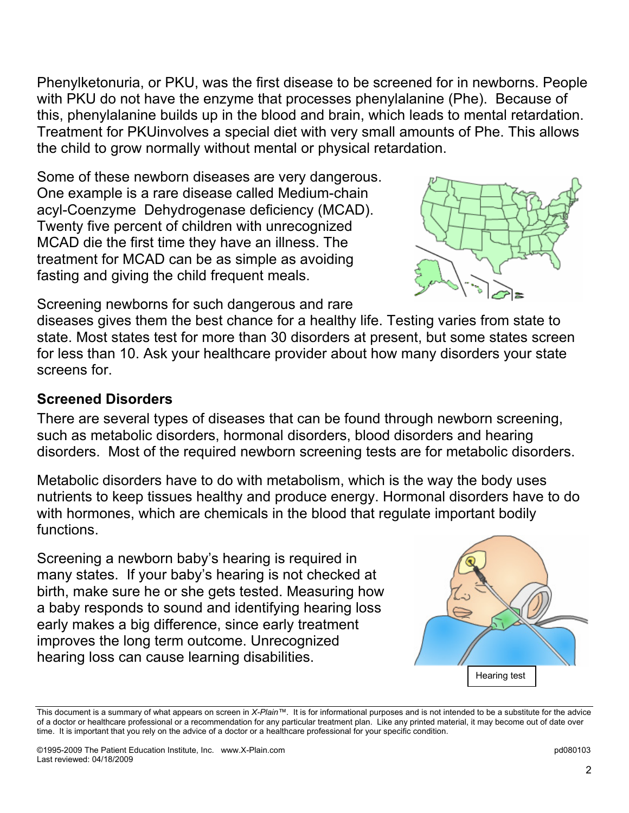Phenylketonuria, or PKU, was the first disease to be screened for in newborns. People with PKU do not have the enzyme that processes phenylalanine (Phe). Because of this, phenylalanine builds up in the blood and brain, which leads to mental retardation. Treatment for PKUinvolves a special diet with very small amounts of Phe. This allows the child to grow normally without mental or physical retardation.

Some of these newborn diseases are very dangerous. One example is a rare disease called Medium-chain acyl-Coenzyme Dehydrogenase deficiency (MCAD). Twenty five percent of children with unrecognized MCAD die the first time they have an illness. The treatment for MCAD can be as simple as avoiding fasting and giving the child frequent meals.



Screening newborns for such dangerous and rare

diseases gives them the best chance for a healthy life. Testing varies from state to state. Most states test for more than 30 disorders at present, but some states screen for less than 10. Ask your healthcare provider about how many disorders your state screens for.

#### **Screened Disorders**

There are several types of diseases that can be found through newborn screening, such as metabolic disorders, hormonal disorders, blood disorders and hearing disorders. Most of the required newborn screening tests are for metabolic disorders.

Metabolic disorders have to do with metabolism, which is the way the body uses nutrients to keep tissues healthy and produce energy. Hormonal disorders have to do with hormones, which are chemicals in the blood that regulate important bodily functions.

Screening a newborn baby's hearing is required in many states. If your baby's hearing is not checked at birth, make sure he or she gets tested. Measuring how a baby responds to sound and identifying hearing loss early makes a big difference, since early treatment improves the long term outcome. Unrecognized hearing loss can cause learning disabilities.



This document is a summary of what appears on screen in *X-Plain™*. It is for informational purposes and is not intended to be a substitute for the advice of a doctor or healthcare professional or a recommendation for any particular treatment plan. Like any printed material, it may become out of date over time. It is important that you rely on the advice of a doctor or a healthcare professional for your specific condition.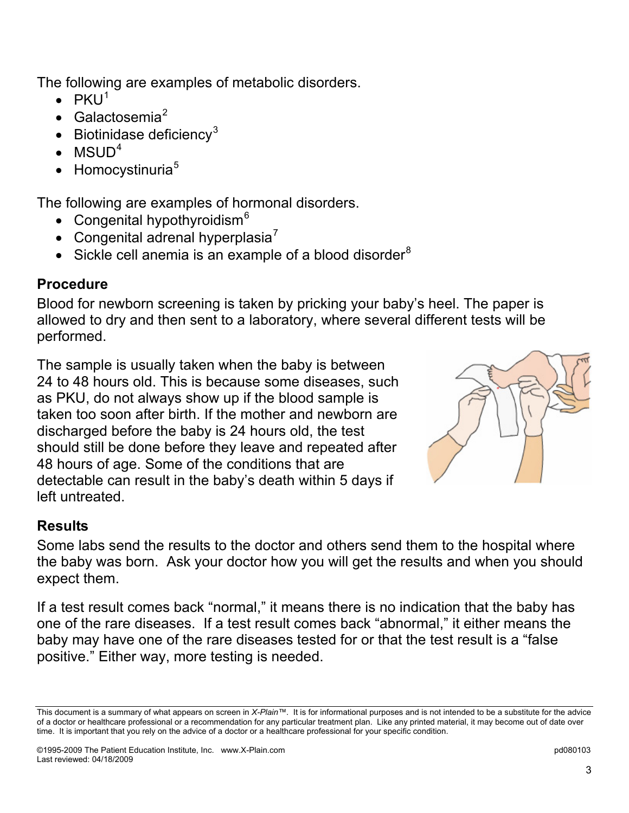The following are examples of metabolic disorders.

- $\bullet$  PKU<sup>[1](#page-4-0)</sup>
- $\bullet$  Galactosemia<sup>[2](#page-4-1)</sup>
- Biotinidase deficiency<sup>[3](#page-4-1)</sup>
- $\bullet$  MSUD<sup>[4](#page-4-1)</sup>
- $\bullet$  Homocystinuria<sup>[5](#page-4-1)</sup>

The following are examples of hormonal disorders.

- Congenital hypothyroidism $<sup>6</sup>$  $<sup>6</sup>$  $<sup>6</sup>$ </sup>
- Congenital adrenal hyperplasia $^7$  $^7$
- Sickle cell anemia is an example of a blood disorder $8$

## **Procedure**

Blood for newborn screening is taken by pricking your baby's heel. The paper is allowed to dry and then sent to a laboratory, where several different tests will be performed.

The sample is usually taken when the baby is between 24 to 48 hours old. This is because some diseases, such as PKU, do not always show up if the blood sample is taken too soon after birth. If the mother and newborn are discharged before the baby is 24 hours old, the test should still be done before they leave and repeated after 48 hours of age. Some of the conditions that are detectable can result in the baby's death within 5 days if left untreated.



## **Results**

Some labs send the results to the doctor and others send them to the hospital where the baby was born. Ask your doctor how you will get the results and when you should expect them.

If a test result comes back "normal," it means there is no indication that the baby has one of the rare diseases. If a test result comes back "abnormal," it either means the baby may have one of the rare diseases tested for or that the test result is a "false positive." Either way, more testing is needed.

This document is a summary of what appears on screen in *X-Plain™*. It is for informational purposes and is not intended to be a substitute for the advice of a doctor or healthcare professional or a recommendation for any particular treatment plan. Like any printed material, it may become out of date over time. It is important that you rely on the advice of a doctor or a healthcare professional for your specific condition.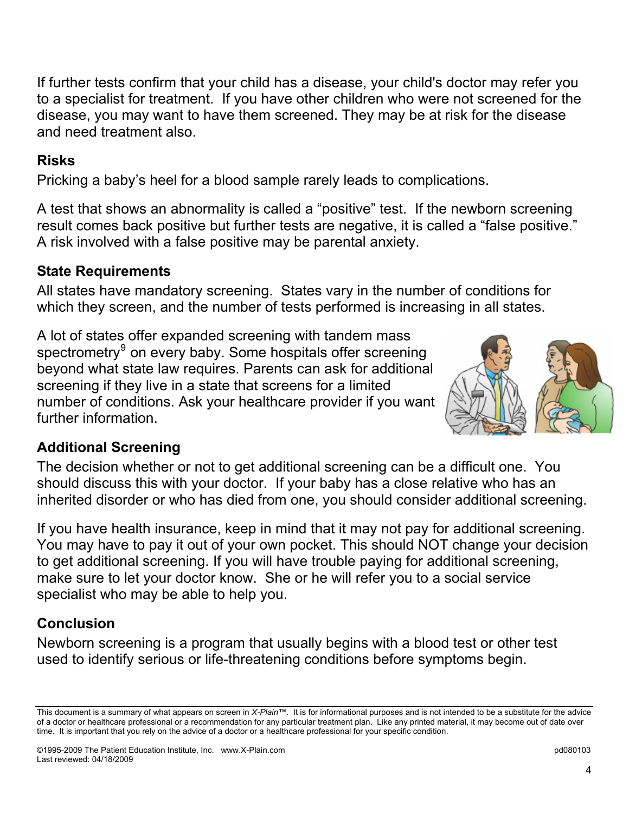If further tests confirm that your child has a disease, your child's doctor may refer you to a specialist for treatment. If you have other children who were not screened for the disease, you may want to have them screened. They may be at risk for the disease and need treatment also.

### **Risks**

Pricking a baby's heel for a blood sample rarely leads to complications.

A test that shows an abnormality is called a "positive" test. If the newborn screening result comes back positive but further tests are negative, it is called a "false positive." A risk involved with a false positive may be parental anxiety.

#### **State Requirements**

All states have mandatory screening. States vary in the number of conditions for which they screen, and the number of tests performed is increasing in all states.

A lot of states offer expanded screening with tandem mass spectrometry<sup>[9](#page-4-1)</sup> on every baby. Some hospitals offer screening beyond what state law requires. Parents can ask for additional screening if they live in a state that screens for a limited number of conditions. Ask your healthcare provider if you want further information.



## **Additional Screening**

The decision whether or not to get additional screening can be a difficult one. You should discuss this with your doctor. If your baby has a close relative who has an inherited disorder or who has died from one, you should consider additional screening.

If you have health insurance, keep in mind that it may not pay for additional screening. You may have to pay it out of your own pocket. This should NOT change your decision to get additional screening. If you will have trouble paying for additional screening, make sure to let your doctor know. She or he will refer you to a social service specialist who may be able to help you.

## **Conclusion**

Newborn screening is a program that usually begins with a blood test or other test used to identify serious or life-threatening conditions before symptoms begin.

This document is a summary of what appears on screen in *X-Plain™*. It is for informational purposes and is not intended to be a substitute for the advice of a doctor or healthcare professional or a recommendation for any particular treatment plan. Like any printed material, it may become out of date over time. It is important that you rely on the advice of a doctor or a healthcare professional for your specific condition.